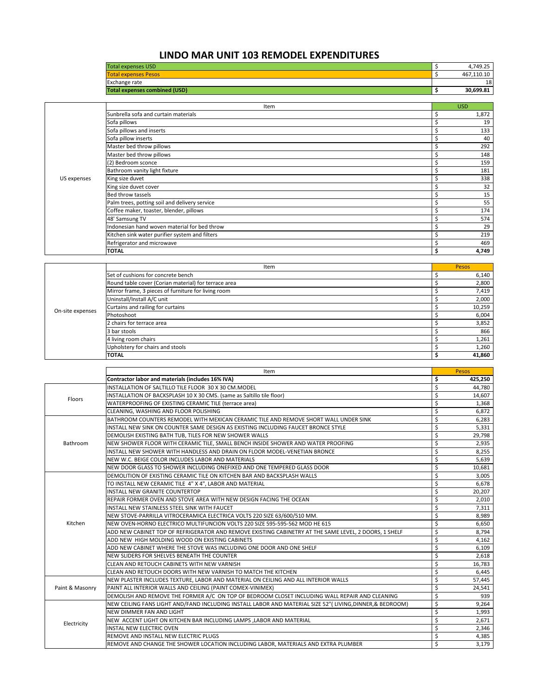## **LINDO MAR UNIT 103 REMODEL EXPENDITURES**

|             | <b>Total expenses USD</b>                      | \$ | 4,749.25   |
|-------------|------------------------------------------------|----|------------|
|             | <b>Total expenses Pesos</b>                    | Ś  | 467,110.10 |
|             | Exchange rate                                  |    | 18         |
|             | <b>Total expenses combined (USD)</b>           | \$ | 30,699.81  |
|             |                                                |    |            |
|             | Item                                           |    | <b>USD</b> |
|             | Sunbrella sofa and curtain materials           |    | 1,872      |
|             | Sofa pillows                                   |    | 19         |
|             | Sofa pillows and inserts                       |    | 133        |
|             | Sofa pillow inserts                            |    | 40         |
|             | Master bed throw pillows                       |    | 292        |
|             | Master bed throw pillows                       |    | 148        |
|             | (2) Bedroom sconce                             |    | 159        |
|             | Bathroom vanity light fixture                  |    | 181        |
| US expenses | King size duvet                                |    | 338        |
|             | King size duvet cover                          |    | 32         |
|             | Bed throw tassels                              |    | 15         |
|             | Palm trees, potting soil and delivery service  |    | 55         |
|             | Coffee maker, toaster, blender, pillows        |    | 174        |
|             | 48' Samsung TV                                 |    | 574        |
|             | Indonesian hand woven material for bed throw   |    | 29         |
|             | Kitchen sink water purifier system and filters |    | 219        |
|             | Refrigerator and microwave                     |    | 469        |
|             | <b>TOTAL</b>                                   |    | 4,749      |

|                  | Item                                                 | Pesos  |
|------------------|------------------------------------------------------|--------|
|                  | Set of cushions for concrete bench                   | 6,140  |
|                  | Round table cover (Corian material) for terrace area | 2,800  |
|                  | Mirror frame, 3 pieces of furniture for living room  | 7,419  |
|                  | Uninstall/Install A/C unit                           | 2,000  |
| On-site expenses | Curtains and railing for curtains                    | 10,259 |
|                  | Photoshoot                                           | 6,004  |
|                  | 2 chairs for terrace area                            | 3,852  |
|                  | 3 bar stools                                         | 866    |
|                  | 4 living room chairs                                 | 1,261  |
|                  | Upholstery for chairs and stools                     | 1,260  |
|                  | <b>TOTAL</b>                                         | 41,860 |

|                 | Item                                                                                                      |    | Pesos   |
|-----------------|-----------------------------------------------------------------------------------------------------------|----|---------|
|                 | Contractor labor and materials (includes 16% IVA)                                                         | \$ | 425,250 |
|                 | INSTALLATION OF SALTILLO TILE FLOOR 30 X 30 CM.MODEL                                                      | \$ | 44,780  |
| Floors          | INSTALLATION OF BACKSPLASH 10 X 30 CMS. (same as Saltillo tile floor)                                     | \$ | 14,607  |
|                 | WATERPROOFING OF EXISTING CERAMIC TILE (terrace area)                                                     | \$ | 1,368   |
|                 | CLEANING, WASHING AND FLOOR POLISHING                                                                     | Ś  | 6,872   |
|                 | BATHROOM COUNTERS REMODEL WITH MEXICAN CERAMIC TILE AND REMOVE SHORT WALL UNDER SINK                      | \$ | 6,283   |
|                 | INSTALL NEW SINK ON COUNTER SAME DESIGN AS EXISTING INCLUDING FAUCET BRONCE STYLE                         | \$ | 5,331   |
|                 | DEMOLISH EXISTING BATH TUB, TILES FOR NEW SHOWER WALLS                                                    | \$ | 29,798  |
| Bathroom        | NEW SHOWER FLOOR WITH CERAMIC TILE, SMALL BENCH INSIDE SHOWER AND WATER PROOFING                          | \$ | 2,935   |
|                 | INSTALL NEW SHOWER WITH HANDLESS AND DRAIN ON FLOOR MODEL-VENETIAN BRONCE                                 | \$ | 8,255   |
|                 | NEW W.C. BEIGE COLOR INCLUDES LABOR AND MATERIALS                                                         | \$ | 5,639   |
|                 | NEW DOOR GLASS TO SHOWER INCLUDING ONEFIXED AND ONE TEMPERED GLASS DOOR                                   | \$ | 10,681  |
|                 | DEMOLITION OF EXISTING CERAMIC TILE ON KITCHEN BAR AND BACKSPLASH WALLS                                   | \$ | 3,005   |
|                 | TO INSTALL NEW CERAMIC TILE 4" X 4", LABOR AND MATERIAL                                                   | Ś  | 6,678   |
|                 | <b>INSTALL NEW GRANITE COUNTERTOP</b>                                                                     | \$ | 20,207  |
|                 | REPAIR FORMER OVEN AND STOVE AREA WITH NEW DESIGN FACING THE OCEAN                                        | \$ | 2,010   |
|                 | INSTALL NEW STAINLESS STEEL SINK WITH FAUCET                                                              | \$ | 7,311   |
|                 | NEW STOVE-PARRILLA VITROCERAMICA ELECTRICA VOLTS 220 SIZE 63/600/510 MM.                                  | \$ | 8,989   |
| Kitchen         | NEW OVEN-HORNO ELECTRICO MULTIFUNCION VOLTS 220 SIZE 595-595-562 MOD HE 615                               | \$ | 6,650   |
|                 | ADD NEW CABINET TOP OF REFRIGERATOR AND REMOVE EXISTING CABINETRY AT THE SAME LEVEL, 2 DOORS, 1 SHELF     | \$ | 8,794   |
|                 | ADD NEW HIGH MOLDING WOOD ON EXISTING CABINETS                                                            | \$ | 4,162   |
|                 | ADD NEW CABINET WHERE THE STOVE WAS INCLUDING ONE DOOR AND ONE SHELF                                      | \$ | 6,109   |
|                 | NEW SLIDERS FOR SHELVES BENEATH THE COUNTER                                                               | \$ | 2,618   |
|                 | CLEAN AND RETOUCH CABINETS WITH NEW VARNISH                                                               | \$ | 16,783  |
|                 | CLEAN AND RETOUCH DOORS WITH NEW VARNISH TO MATCH THE KITCHEN                                             | \$ | 6,445   |
|                 | NEW PLASTER INCLUDES TEXTURE, LABOR AND MATERIAL ON CEILING AND ALL INTERIOR WALLS                        | \$ | 57,445  |
| Paint & Masonry | PAINT ALL INTERIOR WALLS AND CEILING (PAINT COMEX-VINIMEX)                                                | \$ | 24,541  |
|                 | DEMOLISH AND REMOVE THE FORMER A/C ON TOP OF BEDROOM CLOSET INCLUDING WALL REPAIR AND CLEANING            | \$ | 939     |
|                 | NEW CEILING FANS LIGHT AND/FAND INCLUDING INSTALL LABOR AND MATERIAL SIZE 52" (LIVING, DINNER, & BEDROOM) | \$ | 9.264   |
|                 | NEW DIMMER FAN AND LIGHT                                                                                  | \$ | 1,993   |
| Electricity     | NEW ACCENT LIGHT ON KITCHEN BAR INCLUDING LAMPS , LABOR AND MATERIAL                                      | \$ | 2,671   |
|                 | <b>INSTAL NEW ELECTRIC OVEN</b>                                                                           | \$ | 2,346   |
|                 | REMOVE AND INSTALL NEW ELECTRIC PLUGS                                                                     | \$ | 4,385   |
|                 | REMOVE AND CHANGE THE SHOWER LOCATION INCLUDING LABOR, MATERIALS AND EXTRA PLUMBER                        | \$ | 3,179   |